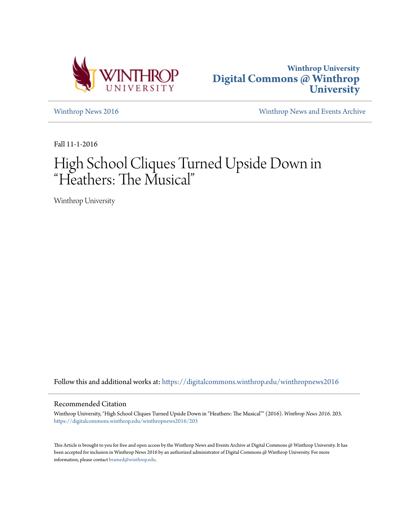



[Winthrop News 2016](https://digitalcommons.winthrop.edu/winthropnews2016?utm_source=digitalcommons.winthrop.edu%2Fwinthropnews2016%2F203&utm_medium=PDF&utm_campaign=PDFCoverPages) [Winthrop News and Events Archive](https://digitalcommons.winthrop.edu/winthropnewsarchives?utm_source=digitalcommons.winthrop.edu%2Fwinthropnews2016%2F203&utm_medium=PDF&utm_campaign=PDFCoverPages)

Fall 11-1-2016

# High School Cliques Turned Upside Down in "Heathers: The Musical"

Winthrop University

Follow this and additional works at: [https://digitalcommons.winthrop.edu/winthropnews2016](https://digitalcommons.winthrop.edu/winthropnews2016?utm_source=digitalcommons.winthrop.edu%2Fwinthropnews2016%2F203&utm_medium=PDF&utm_campaign=PDFCoverPages)

### Recommended Citation

Winthrop University, "High School Cliques Turned Upside Down in "Heathers: The Musical"" (2016). *Winthrop News 2016*. 203. [https://digitalcommons.winthrop.edu/winthropnews2016/203](https://digitalcommons.winthrop.edu/winthropnews2016/203?utm_source=digitalcommons.winthrop.edu%2Fwinthropnews2016%2F203&utm_medium=PDF&utm_campaign=PDFCoverPages)

This Article is brought to you for free and open access by the Winthrop News and Events Archive at Digital Commons @ Winthrop University. It has been accepted for inclusion in Winthrop News 2016 by an authorized administrator of Digital Commons @ Winthrop University. For more information, please contact [bramed@winthrop.edu](mailto:bramed@winthrop.edu).